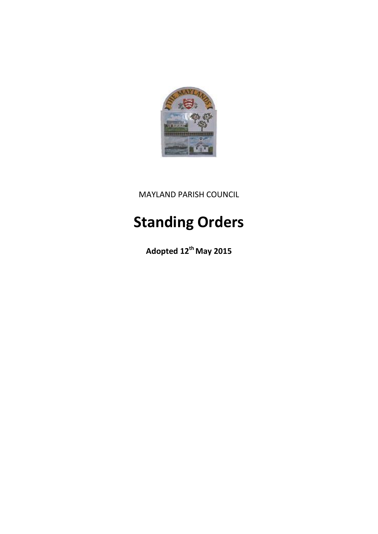

MAYLAND PARISH COUNCIL

# **Standing Orders**

**Adopted 12th May 2015**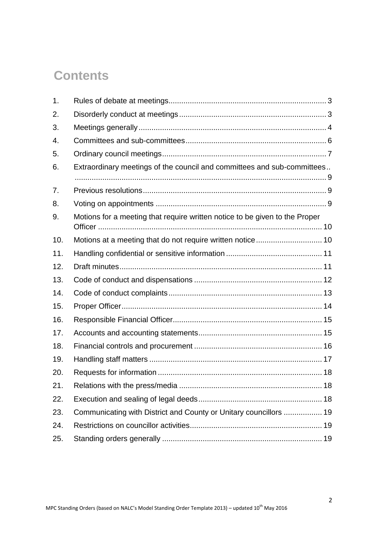#### **Contents**

| 1.  |                                                                             |  |
|-----|-----------------------------------------------------------------------------|--|
| 2.  |                                                                             |  |
| 3.  |                                                                             |  |
| 4.  |                                                                             |  |
| 5.  |                                                                             |  |
| 6.  | Extraordinary meetings of the council and committees and sub-committees     |  |
| 7.  |                                                                             |  |
| 8.  |                                                                             |  |
| 9.  | Motions for a meeting that require written notice to be given to the Proper |  |
| 10. | Motions at a meeting that do not require written notice 10                  |  |
| 11. |                                                                             |  |
| 12. |                                                                             |  |
| 13. |                                                                             |  |
| 14. |                                                                             |  |
| 15. |                                                                             |  |
| 16. |                                                                             |  |
| 17. |                                                                             |  |
| 18. |                                                                             |  |
| 19. |                                                                             |  |
| 20. |                                                                             |  |
| 21. |                                                                             |  |
| 22. |                                                                             |  |
| 23. | Communicating with District and County or Unitary councillors  19           |  |
| 24. |                                                                             |  |
| 25. |                                                                             |  |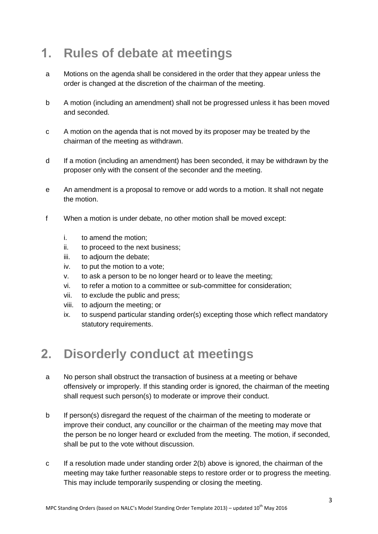# <span id="page-2-0"></span>**1. Rules of debate at meetings**

- a Motions on the agenda shall be considered in the order that they appear unless the order is changed at the discretion of the chairman of the meeting.
- b A motion (including an amendment) shall not be progressed unless it has been moved and seconded.
- c A motion on the agenda that is not moved by its proposer may be treated by the chairman of the meeting as withdrawn.
- d If a motion (including an amendment) has been seconded, it may be withdrawn by the proposer only with the consent of the seconder and the meeting.
- e An amendment is a proposal to remove or add words to a motion. It shall not negate the motion.
- f When a motion is under debate, no other motion shall be moved except:
	- i. to amend the motion;
	- ii. to proceed to the next business;
	- iii. to adjourn the debate;
	- iv. to put the motion to a vote;
	- v. to ask a person to be no longer heard or to leave the meeting;
	- vi. to refer a motion to a committee or sub-committee for consideration;
	- vii. to exclude the public and press;
	- viii. to adjourn the meeting; or
	- ix. to suspend particular standing order(s) excepting those which reflect mandatory statutory requirements.

# <span id="page-2-1"></span>**2. Disorderly conduct at meetings**

- a No person shall obstruct the transaction of business at a meeting or behave offensively or improperly. If this standing order is ignored, the chairman of the meeting shall request such person(s) to moderate or improve their conduct.
- b If person(s) disregard the request of the chairman of the meeting to moderate or improve their conduct, any councillor or the chairman of the meeting may move that the person be no longer heard or excluded from the meeting. The motion, if seconded, shall be put to the vote without discussion.
- c If a resolution made under standing order 2(b) above is ignored, the chairman of the meeting may take further reasonable steps to restore order or to progress the meeting. This may include temporarily suspending or closing the meeting.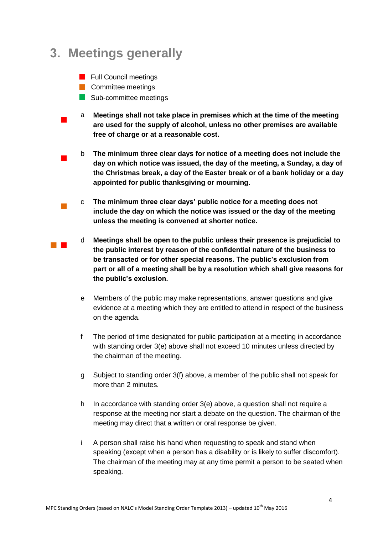#### <span id="page-3-0"></span>**3. Meetings generally**

**Full Council meetings** 

**Committee meetings** 

 $\blacksquare$ 

 $\mathcal{L}_{\mathcal{A}}$ 

- Sub-committee meetings
- $\blacksquare$ a **Meetings shall not take place in premises which at the time of the meeting are used for the supply of alcohol, unless no other premises are available free of charge or at a reasonable cost.** 
	- b **The minimum three clear days for notice of a meeting does not include the day on which notice was issued, the day of the meeting, a Sunday, a day of the Christmas break, a day of the Easter break or of a bank holiday or a day appointed for public thanksgiving or mourning.**
		- c **The minimum three clear days' public notice for a meeting does not include the day on which the notice was issued or the day of the meeting unless the meeting is convened at shorter notice.**
- d **Meetings shall be open to the public unless their presence is prejudicial to the public interest by reason of the confidential nature of the business to be transacted or for other special reasons. The public's exclusion from part or all of a meeting shall be by a resolution which shall give reasons for the public's exclusion.**
	- e Members of the public may make representations, answer questions and give evidence at a meeting which they are entitled to attend in respect of the business on the agenda.
	- f The period of time designated for public participation at a meeting in accordance with standing order 3(e) above shall not exceed 10 minutes unless directed by the chairman of the meeting.
	- g Subject to standing order 3(f) above, a member of the public shall not speak for more than 2 minutes.
	- h In accordance with standing order 3(e) above, a question shall not require a response at the meeting nor start a debate on the question. The chairman of the meeting may direct that a written or oral response be given.
	- i A person shall raise his hand when requesting to speak and stand when speaking (except when a person has a disability or is likely to suffer discomfort). The chairman of the meeting may at any time permit a person to be seated when speaking.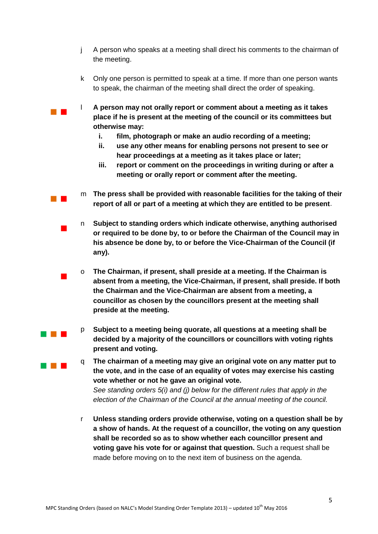- j A person who speaks at a meeting shall direct his comments to the chairman of the meeting.
- k Only one person is permitted to speak at a time. If more than one person wants to speak, the chairman of the meeting shall direct the order of speaking.

l **A person may not orally report or comment about a meeting as it takes place if he is present at the meeting of the council or its committees but otherwise may:**

 $\mathcal{L}_{\mathcal{A}}$ 

 $\mathcal{L}_{\mathcal{A}}$ 

 $\blacksquare$ 

. . .

and the control

- **i. film, photograph or make an audio recording of a meeting;**
- **ii. use any other means for enabling persons not present to see or hear proceedings at a meeting as it takes place or later;**
- **iii. report or comment on the proceedings in writing during or after a meeting or orally report or comment after the meeting.**

 $\mathcal{L}_{\text{max}}$ m **The press shall be provided with reasonable facilities for the taking of their report of all or part of a meeting at which they are entitled to be present**.

n **Subject to standing orders which indicate otherwise, anything authorised or required to be done by, to or before the Chairman of the Council may in his absence be done by, to or before the Vice-Chairman of the Council (if any).**

o **The Chairman, if present, shall preside at a meeting. If the Chairman is absent from a meeting, the Vice-Chairman, if present, shall preside. If both the Chairman and the Vice-Chairman are absent from a meeting, a councillor as chosen by the councillors present at the meeting shall preside at the meeting.**

p **Subject to a meeting being quorate, all questions at a meeting shall be decided by a majority of the councillors or councillors with voting rights present and voting.**

q **The chairman of a meeting may give an original vote on any matter put to the vote, and in the case of an equality of votes may exercise his casting vote whether or not he gave an original vote.** *See standing orders 5(i) and (j) below for the different rules that apply in the* 

*election of the Chairman of the Council at the annual meeting of the council.*

r **Unless standing orders provide otherwise, voting on a question shall be by a show of hands. At the request of a councillor, the voting on any question shall be recorded so as to show whether each councillor present and voting gave his vote for or against that question.** Such a request shall be made before moving on to the next item of business on the agenda.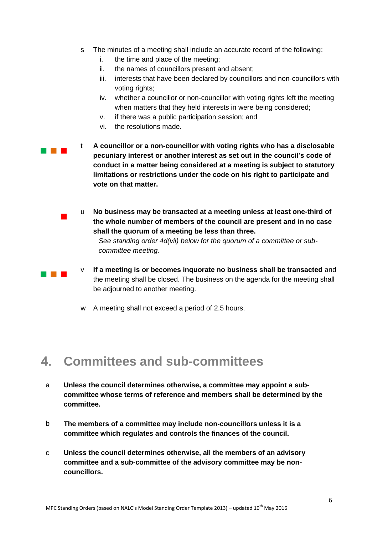- s The minutes of a meeting shall include an accurate record of the following:
	- i. the time and place of the meeting;
	- ii. the names of councillors present and absent;
	- iii. interests that have been declared by councillors and non-councillors with voting rights;
	- iv. whether a councillor or non-councillor with voting rights left the meeting when matters that they held interests in were being considered;
	- v. if there was a public participation session; and
	- vi. the resolutions made.

 $\mathcal{L}_{\mathcal{A}}$ 

**Contract Contract** 

**The Company** t **A councillor or a non-councillor with voting rights who has a disclosable pecuniary interest or another interest as set out in the council's code of conduct in a matter being considered at a meeting is subject to statutory limitations or restrictions under the code on his right to participate and vote on that matter.**

> u **No business may be transacted at a meeting unless at least one-third of the whole number of members of the council are present and in no case shall the quorum of a meeting be less than three.**

*See standing order 4d(vii) below for the quorum of a committee or subcommittee meeting.* 

- v **If a meeting is or becomes inquorate no business shall be transacted** and the meeting shall be closed. The business on the agenda for the meeting shall be adjourned to another meeting.
	- w A meeting shall not exceed a period of 2.5 hours.

#### <span id="page-5-0"></span>**4. Committees and sub-committees**

- a **Unless the council determines otherwise, a committee may appoint a subcommittee whose terms of reference and members shall be determined by the committee.**
- b **The members of a committee may include non-councillors unless it is a committee which regulates and controls the finances of the council.**
- c **Unless the council determines otherwise, all the members of an advisory committee and a sub-committee of the advisory committee may be noncouncillors.**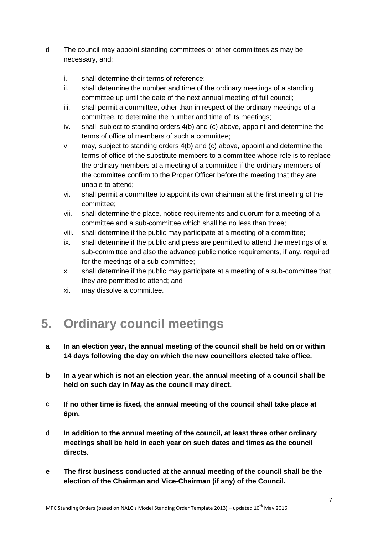- d The council may appoint standing committees or other committees as may be necessary, and:
	- i. shall determine their terms of reference;
	- ii. shall determine the number and time of the ordinary meetings of a standing committee up until the date of the next annual meeting of full council;
	- iii. shall permit a committee, other than in respect of the ordinary meetings of a committee, to determine the number and time of its meetings;
	- iv. shall, subject to standing orders 4(b) and (c) above, appoint and determine the terms of office of members of such a committee;
	- v. may, subject to standing orders 4(b) and (c) above, appoint and determine the terms of office of the substitute members to a committee whose role is to replace the ordinary members at a meeting of a committee if the ordinary members of the committee confirm to the Proper Officer before the meeting that they are unable to attend;
	- vi. shall permit a committee to appoint its own chairman at the first meeting of the committee;
	- vii. shall determine the place, notice requirements and quorum for a meeting of a committee and a sub-committee which shall be no less than three;
	- viii. shall determine if the public may participate at a meeting of a committee;
	- ix. shall determine if the public and press are permitted to attend the meetings of a sub-committee and also the advance public notice requirements, if any, required for the meetings of a sub-committee;
	- x. shall determine if the public may participate at a meeting of a sub-committee that they are permitted to attend; and
	- xi. may dissolve a committee.

# <span id="page-6-0"></span>**5. Ordinary council meetings**

- **a In an election year, the annual meeting of the council shall be held on or within 14 days following the day on which the new councillors elected take office.**
- **b In a year which is not an election year, the annual meeting of a council shall be held on such day in May as the council may direct.**
- c **If no other time is fixed, the annual meeting of the council shall take place at 6pm.**
- d **In addition to the annual meeting of the council, at least three other ordinary meetings shall be held in each year on such dates and times as the council directs.**
- **e The first business conducted at the annual meeting of the council shall be the election of the Chairman and Vice-Chairman (if any) of the Council.**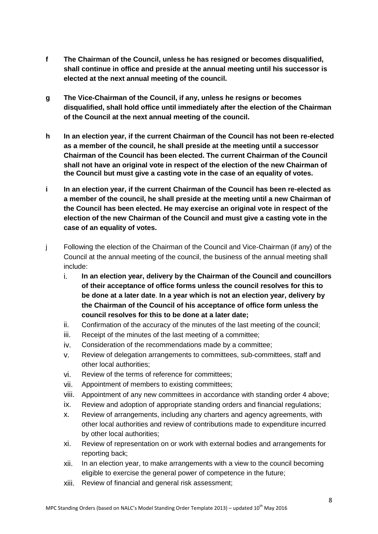- **f The Chairman of the Council, unless he has resigned or becomes disqualified, shall continue in office and preside at the annual meeting until his successor is elected at the next annual meeting of the council.**
- **g The Vice-Chairman of the Council, if any, unless he resigns or becomes disqualified, shall hold office until immediately after the election of the Chairman of the Council at the next annual meeting of the council.**
- **h In an election year, if the current Chairman of the Council has not been re-elected as a member of the council, he shall preside at the meeting until a successor Chairman of the Council has been elected. The current Chairman of the Council shall not have an original vote in respect of the election of the new Chairman of the Council but must give a casting vote in the case of an equality of votes.**
- **i In an election year, if the current Chairman of the Council has been re-elected as a member of the council, he shall preside at the meeting until a new Chairman of the Council has been elected. He may exercise an original vote in respect of the election of the new Chairman of the Council and must give a casting vote in the case of an equality of votes.**
- j Following the election of the Chairman of the Council and Vice-Chairman (if any) of the Council at the annual meeting of the council, the business of the annual meeting shall include:
	- i. **In an election year, delivery by the Chairman of the Council and councillors of their acceptance of office forms unless the council resolves for this to be done at a later date**. **In a year which is not an election year, delivery by the Chairman of the Council of his acceptance of office form unless the council resolves for this to be done at a later date;**
	- ii. Confirmation of the accuracy of the minutes of the last meeting of the council;
	- iii. Receipt of the minutes of the last meeting of a committee;
	- iv. Consideration of the recommendations made by a committee;
	- v. Review of delegation arrangements to committees, sub-committees, staff and other local authorities;
	- vi. Review of the terms of reference for committees;
	- vii. Appointment of members to existing committees;
	- viii. Appointment of any new committees in accordance with standing order 4 above;
	- ix. Review and adoption of appropriate standing orders and financial regulations;
	- x. Review of arrangements, including any charters and agency agreements, with other local authorities and review of contributions made to expenditure incurred by other local authorities;
	- xi. Review of representation on or work with external bodies and arrangements for reporting back;
	- xii. In an election year, to make arrangements with a view to the council becoming eligible to exercise the general power of competence in the future;
	- xiii. Review of financial and general risk assessment;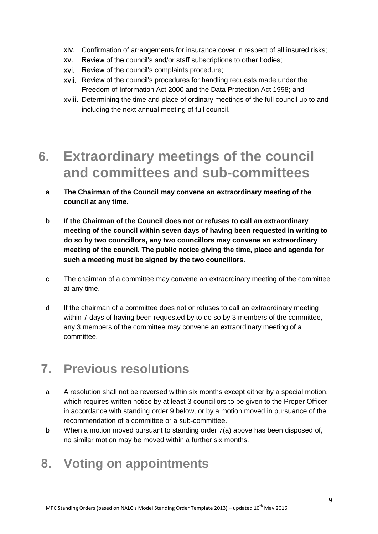- xiv. Confirmation of arrangements for insurance cover in respect of all insured risks;
- xv. Review of the council's and/or staff subscriptions to other bodies;
- xvi. Review of the council's complaints procedure;
- xvii. Review of the council's procedures for handling requests made under the Freedom of Information Act 2000 and the Data Protection Act 1998; and
- xviii. Determining the time and place of ordinary meetings of the full council up to and including the next annual meeting of full council.

# <span id="page-8-0"></span>**6. Extraordinary meetings of the council and committees and sub-committees**

- **a The Chairman of the Council may convene an extraordinary meeting of the council at any time.**
- b **If the Chairman of the Council does not or refuses to call an extraordinary meeting of the council within seven days of having been requested in writing to do so by two councillors, any two councillors may convene an extraordinary meeting of the council. The public notice giving the time, place and agenda for such a meeting must be signed by the two councillors.**
- c The chairman of a committee may convene an extraordinary meeting of the committee at any time.
- d If the chairman of a committee does not or refuses to call an extraordinary meeting within 7 days of having been requested by to do so by 3 members of the committee, any 3 members of the committee may convene an extraordinary meeting of a committee.

# <span id="page-8-1"></span>**7. Previous resolutions**

- a A resolution shall not be reversed within six months except either by a special motion, which requires written notice by at least 3 councillors to be given to the Proper Officer in accordance with standing order 9 below, or by a motion moved in pursuance of the recommendation of a committee or a sub-committee.
- b When a motion moved pursuant to standing order 7(a) above has been disposed of, no similar motion may be moved within a further six months.

# <span id="page-8-2"></span>**8. Voting on appointments**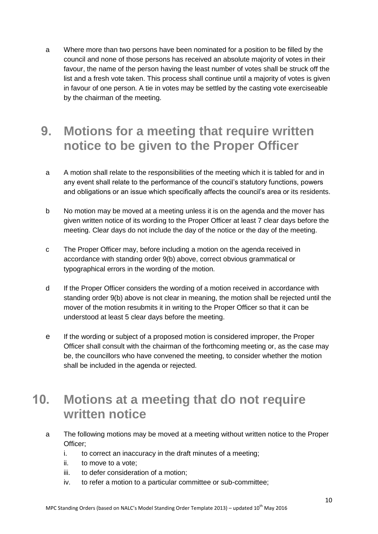a Where more than two persons have been nominated for a position to be filled by the council and none of those persons has received an absolute majority of votes in their favour, the name of the person having the least number of votes shall be struck off the list and a fresh vote taken. This process shall continue until a majority of votes is given in favour of one person. A tie in votes may be settled by the casting vote exerciseable by the chairman of the meeting.

#### <span id="page-9-0"></span>**9. Motions for a meeting that require written notice to be given to the Proper Officer**

- a A motion shall relate to the responsibilities of the meeting which it is tabled for and in any event shall relate to the performance of the council's statutory functions, powers and obligations or an issue which specifically affects the council's area or its residents.
- b No motion may be moved at a meeting unless it is on the agenda and the mover has given written notice of its wording to the Proper Officer at least 7 clear days before the meeting. Clear days do not include the day of the notice or the day of the meeting.
- c The Proper Officer may, before including a motion on the agenda received in accordance with standing order 9(b) above, correct obvious grammatical or typographical errors in the wording of the motion.
- d If the Proper Officer considers the wording of a motion received in accordance with standing order 9(b) above is not clear in meaning, the motion shall be rejected until the mover of the motion resubmits it in writing to the Proper Officer so that it can be understood at least 5 clear days before the meeting.
- e If the wording or subject of a proposed motion is considered improper, the Proper Officer shall consult with the chairman of the forthcoming meeting or, as the case may be, the councillors who have convened the meeting, to consider whether the motion shall be included in the agenda or rejected.

#### <span id="page-9-1"></span>**10. Motions at a meeting that do not require written notice**

- a The following motions may be moved at a meeting without written notice to the Proper Officer;
	- i. to correct an inaccuracy in the draft minutes of a meeting;
	- ii. to move to a vote;
	- iii. to defer consideration of a motion;
	- iv. to refer a motion to a particular committee or sub-committee;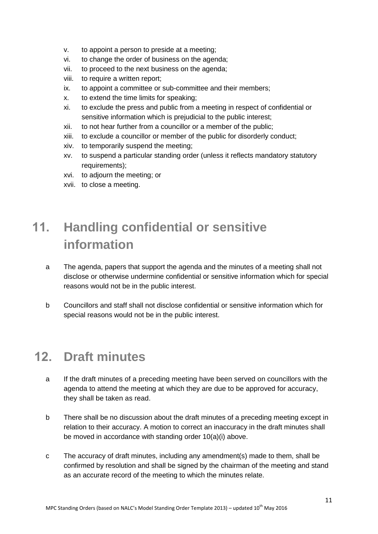- v. to appoint a person to preside at a meeting;
- vi. to change the order of business on the agenda;
- vii. to proceed to the next business on the agenda;
- viii. to require a written report;
- ix. to appoint a committee or sub-committee and their members;
- x. to extend the time limits for speaking;
- xi. to exclude the press and public from a meeting in respect of confidential or sensitive information which is prejudicial to the public interest;
- xii. to not hear further from a councillor or a member of the public;
- xiii. to exclude a councillor or member of the public for disorderly conduct;
- xiv. to temporarily suspend the meeting;
- xv. to suspend a particular standing order (unless it reflects mandatory statutory requirements);
- xvi. to adjourn the meeting; or
- xvii. to close a meeting.

# <span id="page-10-0"></span>**11. Handling confidential or sensitive information**

- a The agenda, papers that support the agenda and the minutes of a meeting shall not disclose or otherwise undermine confidential or sensitive information which for special reasons would not be in the public interest.
- b Councillors and staff shall not disclose confidential or sensitive information which for special reasons would not be in the public interest.

# <span id="page-10-1"></span>**12. Draft minutes**

- a If the draft minutes of a preceding meeting have been served on councillors with the agenda to attend the meeting at which they are due to be approved for accuracy, they shall be taken as read.
- b There shall be no discussion about the draft minutes of a preceding meeting except in relation to their accuracy. A motion to correct an inaccuracy in the draft minutes shall be moved in accordance with standing order 10(a)(i) above.
- c The accuracy of draft minutes, including any amendment(s) made to them, shall be confirmed by resolution and shall be signed by the chairman of the meeting and stand as an accurate record of the meeting to which the minutes relate.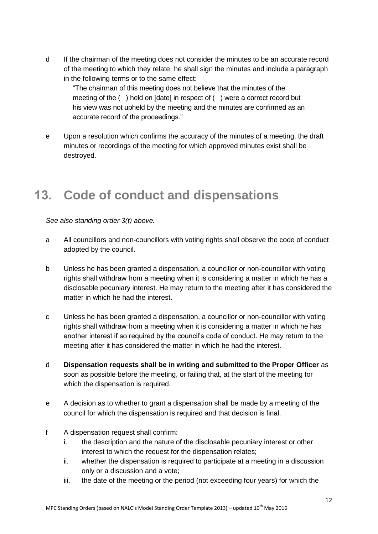d If the chairman of the meeting does not consider the minutes to be an accurate record of the meeting to which they relate, he shall sign the minutes and include a paragraph in the following terms or to the same effect:

"The chairman of this meeting does not believe that the minutes of the meeting of the ( ) held on [date] in respect of ( ) were a correct record but his view was not upheld by the meeting and the minutes are confirmed as an accurate record of the proceedings."

e Upon a resolution which confirms the accuracy of the minutes of a meeting, the draft minutes or recordings of the meeting for which approved minutes exist shall be destroyed.

#### <span id="page-11-0"></span>**13. Code of conduct and dispensations**

*See also standing order 3(t) above.* 

- a All councillors and non-councillors with voting rights shall observe the code of conduct adopted by the council.
- b Unless he has been granted a dispensation, a councillor or non-councillor with voting rights shall withdraw from a meeting when it is considering a matter in which he has a disclosable pecuniary interest. He may return to the meeting after it has considered the matter in which he had the interest.
- c Unless he has been granted a dispensation, a councillor or non-councillor with voting rights shall withdraw from a meeting when it is considering a matter in which he has another interest if so required by the council's code of conduct. He may return to the meeting after it has considered the matter in which he had the interest.
- d **Dispensation requests shall be in writing and submitted to the Proper Officer** as soon as possible before the meeting, or failing that, at the start of the meeting for which the dispensation is required.
- e A decision as to whether to grant a dispensation shall be made by a meeting of the council for which the dispensation is required and that decision is final.
- f A dispensation request shall confirm:
	- i. the description and the nature of the disclosable pecuniary interest or other interest to which the request for the dispensation relates;
	- ii. whether the dispensation is required to participate at a meeting in a discussion only or a discussion and a vote;
	- iii. the date of the meeting or the period (not exceeding four years) for which the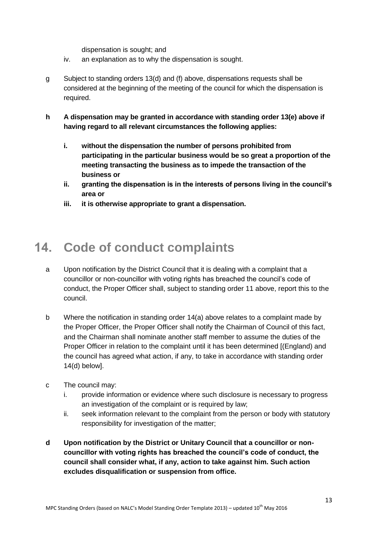dispensation is sought; and

- iv. an explanation as to why the dispensation is sought.
- g Subject to standing orders 13(d) and (f) above, dispensations requests shall be considered at the beginning of the meeting of the council for which the dispensation is required.
- **h A dispensation may be granted in accordance with standing order 13(e) above if having regard to all relevant circumstances the following applies:**
	- **i. without the dispensation the number of persons prohibited from participating in the particular business would be so great a proportion of the meeting transacting the business as to impede the transaction of the business or**
	- **ii. granting the dispensation is in the interests of persons living in the council's area or**
	- **iii. it is otherwise appropriate to grant a dispensation.**

#### <span id="page-12-0"></span>**14. Code of conduct complaints**

- a Upon notification by the District Council that it is dealing with a complaint that a councillor or non-councillor with voting rights has breached the council's code of conduct, the Proper Officer shall, subject to standing order 11 above, report this to the council.
- b Where the notification in standing order 14(a) above relates to a complaint made by the Proper Officer, the Proper Officer shall notify the Chairman of Council of this fact, and the Chairman shall nominate another staff member to assume the duties of the Proper Officer in relation to the complaint until it has been determined [(England) and the council has agreed what action, if any, to take in accordance with standing order 14(d) below].
- c The council may:
	- i. provide information or evidence where such disclosure is necessary to progress an investigation of the complaint or is required by law;
	- ii. seek information relevant to the complaint from the person or body with statutory responsibility for investigation of the matter;
- **d Upon notification by the District or Unitary Council that a councillor or noncouncillor with voting rights has breached the council's code of conduct, the council shall consider what, if any, action to take against him. Such action excludes disqualification or suspension from office.**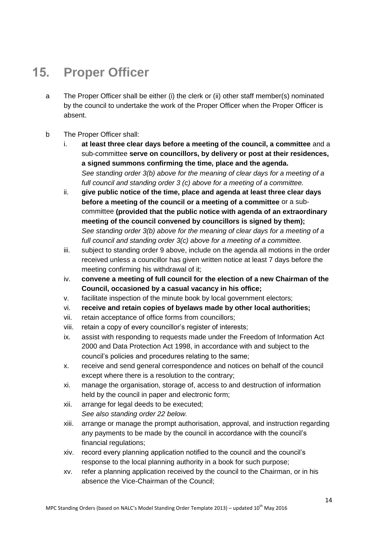# <span id="page-13-0"></span>**15. Proper Officer**

- a The Proper Officer shall be either (i) the clerk or (ii) other staff member(s) nominated by the council to undertake the work of the Proper Officer when the Proper Officer is absent.
- b The Proper Officer shall:
	- i. **at least three clear days before a meeting of the council, a committee** and a sub-committee **serve on councillors, by delivery or post at their residences, a signed summons confirming the time, place and the agenda.** *See standing order 3(b) above for the meaning of clear days for a meeting of a full council and standing order 3 (c) above for a meeting of a committee.*
	- ii. **give public notice of the time, place and agenda at least three clear days before a meeting of the council or a meeting of a committee** or a subcommittee **(provided that the public notice with agenda of an extraordinary meeting of the council convened by councillors is signed by them);** *See standing order 3(b) above for the meaning of clear days for a meeting of a full council and standing order 3(c) above for a meeting of a committee.*
	- iii. subject to standing order 9 above, include on the agenda all motions in the order received unless a councillor has given written notice at least 7 days before the meeting confirming his withdrawal of it;
	- iv. **convene a meeting of full council for the election of a new Chairman of the Council, occasioned by a casual vacancy in his office;**
	- v. facilitate inspection of the minute book by local government electors;
	- vi. **receive and retain copies of byelaws made by other local authorities;**
	- vii. retain acceptance of office forms from councillors;
	- viii. retain a copy of every councillor's register of interests;
	- ix. assist with responding to requests made under the Freedom of Information Act 2000 and Data Protection Act 1998, in accordance with and subject to the council's policies and procedures relating to the same;
	- x. receive and send general correspondence and notices on behalf of the council except where there is a resolution to the contrary;
	- xi. manage the organisation, storage of, access to and destruction of information held by the council in paper and electronic form;
	- xii. arrange for legal deeds to be executed; *See also standing order 22 below.*
	- xiii. arrange or manage the prompt authorisation, approval, and instruction regarding any payments to be made by the council in accordance with the council's financial regulations;
	- xiv. record every planning application notified to the council and the council's response to the local planning authority in a book for such purpose;
	- xv. refer a planning application received by the council to the Chairman, or in his absence the Vice-Chairman of the Council;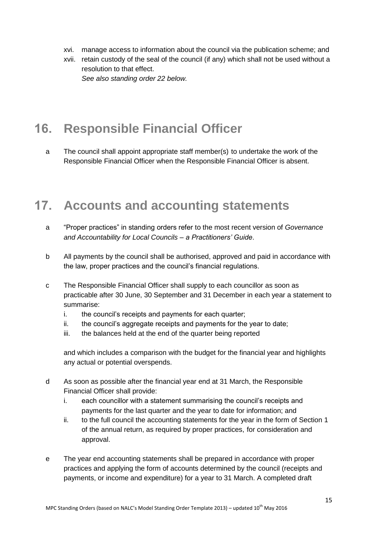- xvi. manage access to information about the council via the publication scheme; and
- xvii. retain custody of the seal of the council (if any) which shall not be used without a resolution to that effect. *See also standing order 22 below.*

#### <span id="page-14-0"></span>**16. Responsible Financial Officer**

a The council shall appoint appropriate staff member(s) to undertake the work of the Responsible Financial Officer when the Responsible Financial Officer is absent.

#### <span id="page-14-1"></span>**17. Accounts and accounting statements**

- a "Proper practices" in standing orders refer to the most recent version of *Governance and Accountability for Local Councils – a Practitioners' Guide*.
- b All payments by the council shall be authorised, approved and paid in accordance with the law, proper practices and the council's financial regulations.
- c The Responsible Financial Officer shall supply to each councillor as soon as practicable after 30 June, 30 September and 31 December in each year a statement to summarise:
	- i. the council's receipts and payments for each quarter;
	- ii. the council's aggregate receipts and payments for the year to date;
	- iii. the balances held at the end of the quarter being reported

and which includes a comparison with the budget for the financial year and highlights any actual or potential overspends.

- d As soon as possible after the financial year end at 31 March, the Responsible Financial Officer shall provide:
	- i. each councillor with a statement summarising the council's receipts and payments for the last quarter and the year to date for information; and
	- ii. to the full council the accounting statements for the year in the form of Section 1 of the annual return, as required by proper practices, for consideration and approval.
- e The year end accounting statements shall be prepared in accordance with proper practices and applying the form of accounts determined by the council (receipts and payments, or income and expenditure) for a year to 31 March. A completed draft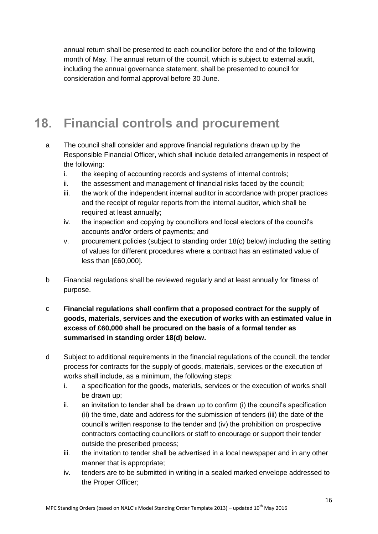annual return shall be presented to each councillor before the end of the following month of May. The annual return of the council, which is subject to external audit, including the annual governance statement, shall be presented to council for consideration and formal approval before 30 June.

# <span id="page-15-0"></span>**18. Financial controls and procurement**

- a The council shall consider and approve financial regulations drawn up by the Responsible Financial Officer, which shall include detailed arrangements in respect of the following:
	- i. the keeping of accounting records and systems of internal controls;
	- ii. the assessment and management of financial risks faced by the council;
	- iii. the work of the independent internal auditor in accordance with proper practices and the receipt of regular reports from the internal auditor, which shall be required at least annually;
	- iv. the inspection and copying by councillors and local electors of the council's accounts and/or orders of payments; and
	- v. procurement policies (subject to standing order 18(c) below) including the setting of values for different procedures where a contract has an estimated value of less than [£60,000].
- b Financial regulations shall be reviewed regularly and at least annually for fitness of purpose.
- c **Financial regulations shall confirm that a proposed contract for the supply of goods, materials, services and the execution of works with an estimated value in excess of £60,000 shall be procured on the basis of a formal tender as summarised in standing order 18(d) below.**
- d Subject to additional requirements in the financial regulations of the council, the tender process for contracts for the supply of goods, materials, services or the execution of works shall include, as a minimum, the following steps:
	- i. a specification for the goods, materials, services or the execution of works shall be drawn up;
	- ii. an invitation to tender shall be drawn up to confirm (i) the council's specification (ii) the time, date and address for the submission of tenders (iii) the date of the council's written response to the tender and (iv) the prohibition on prospective contractors contacting councillors or staff to encourage or support their tender outside the prescribed process;
	- iii. the invitation to tender shall be advertised in a local newspaper and in any other manner that is appropriate;
	- iv. tenders are to be submitted in writing in a sealed marked envelope addressed to the Proper Officer;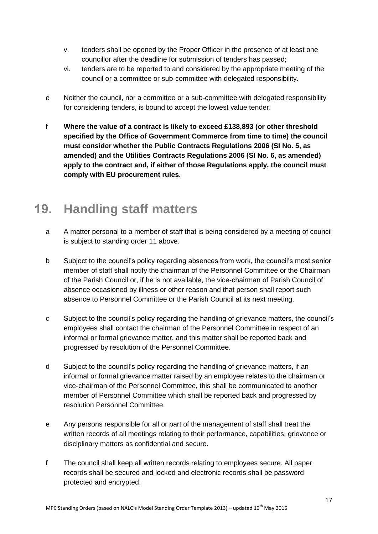- v. tenders shall be opened by the Proper Officer in the presence of at least one councillor after the deadline for submission of tenders has passed;
- vi. tenders are to be reported to and considered by the appropriate meeting of the council or a committee or sub-committee with delegated responsibility.
- e Neither the council, nor a committee or a sub-committee with delegated responsibility for considering tenders, is bound to accept the lowest value tender.
- f **Where the value of a contract is likely to exceed £138,893 (or other threshold specified by the Office of Government Commerce from time to time) the council must consider whether the Public Contracts Regulations 2006 (SI No. 5, as amended) and the Utilities Contracts Regulations 2006 (SI No. 6, as amended) apply to the contract and, if either of those Regulations apply, the council must comply with EU procurement rules.**

#### <span id="page-16-0"></span>**19. Handling staff matters**

- a A matter personal to a member of staff that is being considered by a meeting of council is subject to standing order 11 above.
- b Subject to the council's policy regarding absences from work, the council's most senior member of staff shall notify the chairman of the Personnel Committee or the Chairman of the Parish Council or, if he is not available, the vice-chairman of Parish Council of absence occasioned by illness or other reason and that person shall report such absence to Personnel Committee or the Parish Council at its next meeting.
- c Subject to the council's policy regarding the handling of grievance matters, the council's employees shall contact the chairman of the Personnel Committee in respect of an informal or formal grievance matter, and this matter shall be reported back and progressed by resolution of the Personnel Committee.
- d Subject to the council's policy regarding the handling of grievance matters, if an informal or formal grievance matter raised by an employee relates to the chairman or vice-chairman of the Personnel Committee, this shall be communicated to another member of Personnel Committee which shall be reported back and progressed by resolution Personnel Committee.
- e Any persons responsible for all or part of the management of staff shall treat the written records of all meetings relating to their performance, capabilities, grievance or disciplinary matters as confidential and secure.
- f The council shall keep all written records relating to employees secure. All paper records shall be secured and locked and electronic records shall be password protected and encrypted.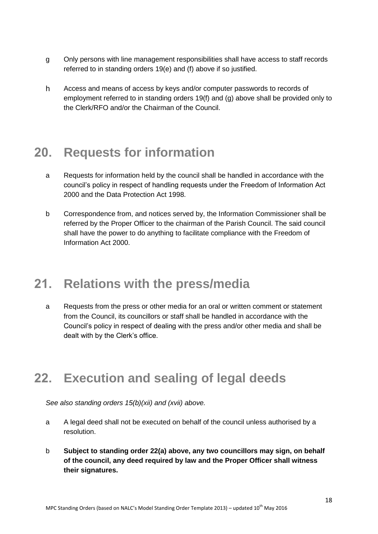- g Only persons with line management responsibilities shall have access to staff records referred to in standing orders 19(e) and (f) above if so justified.
- h Access and means of access by keys and/or computer passwords to records of employment referred to in standing orders 19(f) and (g) above shall be provided only to the Clerk/RFO and/or the Chairman of the Council.

#### <span id="page-17-0"></span>**20. Requests for information**

- a Requests for information held by the council shall be handled in accordance with the council's policy in respect of handling requests under the Freedom of Information Act 2000 and the Data Protection Act 1998.
- b Correspondence from, and notices served by, the Information Commissioner shall be referred by the Proper Officer to the chairman of the Parish Council. The said council shall have the power to do anything to facilitate compliance with the Freedom of Information Act 2000.

#### <span id="page-17-1"></span>**21. Relations with the press/media**

a Requests from the press or other media for an oral or written comment or statement from the Council, its councillors or staff shall be handled in accordance with the Council's policy in respect of dealing with the press and/or other media and shall be dealt with by the Clerk's office.

# <span id="page-17-2"></span>**22. Execution and sealing of legal deeds**

*See also standing orders 15(b)(xii) and (xvii) above.*

- a A legal deed shall not be executed on behalf of the council unless authorised by a resolution.
- b **Subject to standing order 22(a) above, any two councillors may sign, on behalf of the council, any deed required by law and the Proper Officer shall witness their signatures.**